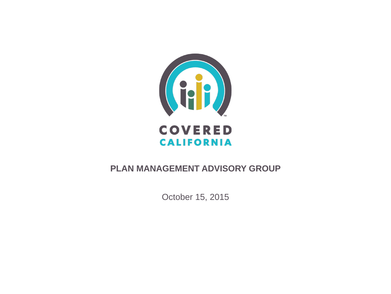

### **PLAN MANAGEMENT ADVISORY GROUP**

October 15, 2015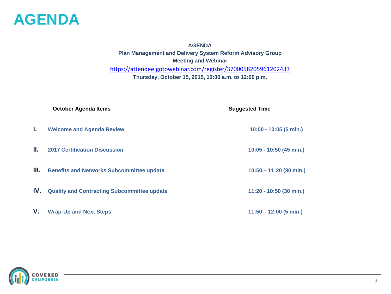

**AGENDA Plan Management and Delivery System Reform Advisory Group Meeting and Webinar** <https://attendee.gotowebinar.com/register/3700058205961202433> **Thursday, October 15, 2015, 10:00 a.m. to 12:00 p.m.**

|      | <b>October Agenda Items</b>                        | <b>Suggested Time</b>     |
|------|----------------------------------------------------|---------------------------|
| L.   | <b>Welcome and Agenda Review</b>                   | 10:00 - 10:05 (5 min.)    |
| Ш.   | <b>2017 Certification Discussion</b>               | 10:05 - 10:50 (45 min.)   |
| III. | <b>Benefits and Networks Subcommittee update</b>   | $10:50 - 11:20$ (30 min.) |
| IV.  | <b>Quality and Contracting Subcommittee update</b> | 11:20 - 10:50 (30 min.)   |
| V.   | <b>Wrap-Up and Next Steps</b>                      | $11:50 - 12:00$ (5 min.)  |

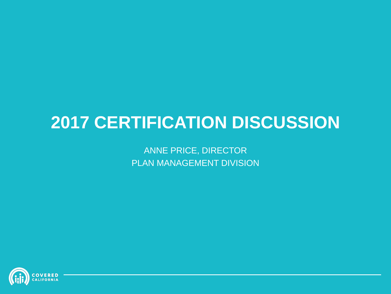# **2017 CERTIFICATION DISCUSSION**

ANNE PRICE, DIRECTOR PLAN MANAGEMENT DIVISION

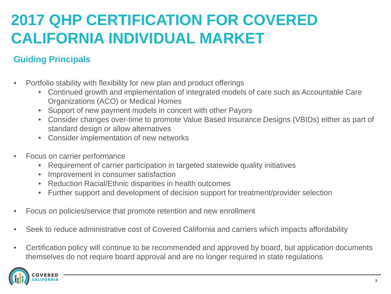## **2017 QHP CERTIFICATION FOR COVERED CALIFORNIA INDIVIDUAL MARKET**

### **Guiding Principals**

- Portfolio stability with flexibility for new plan and product offerings
	- Continued growth and implementation of integrated models of care such as Accountable Care Organizations (ACO) or Medical Homes
	- Support of new payment models in concert with other Payors
	- Consider changes over-time to promote Value Based Insurance Designs (VBIDs) either as part of standard design or allow alternatives
	- Consider implementation of new networks
- Focus on carrier performance
	- Requirement of carrier participation in targeted statewide quality initiatives
	- Improvement in consumer satisfaction
	- Reduction Racial/Ethnic disparities in health outcomes
	- Further support and development of decision support for treatment/provider selection
- Focus on policies/service that promote retention and new enrollment
- Seek to reduce administrative cost of Covered California and carriers which impacts affordability
- Certification policy will continue to be recommended and approved by board, but application documents themselves do not require board approval and are no longer required in state regulations

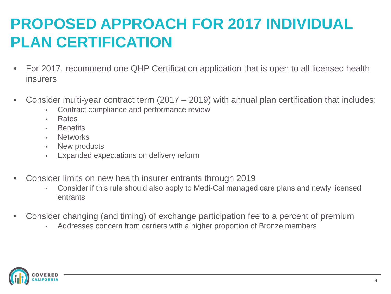## **PROPOSED APPROACH FOR 2017 INDIVIDUAL PLAN CERTIFICATION**

- For 2017, recommend one QHP Certification application that is open to all licensed health insurers
- Consider multi-year contract term  $(2017 2019)$  with annual plan certification that includes:
	- Contract compliance and performance review
	- Rates
	- **Benefits**
	- **Networks**
	- New products
	- Expanded expectations on delivery reform
- Consider limits on new health insurer entrants through 2019
	- Consider if this rule should also apply to Medi-Cal managed care plans and newly licensed entrants
- Consider changing (and timing) of exchange participation fee to a percent of premium
	- Addresses concern from carriers with a higher proportion of Bronze members

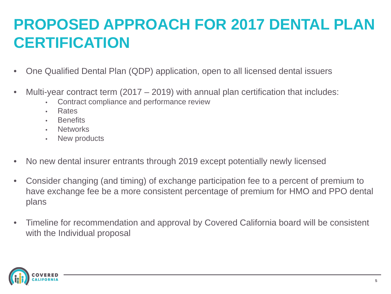## **PROPOSED APPROACH FOR 2017 DENTAL PLAN CERTIFICATION**

- One Qualified Dental Plan (QDP) application, open to all licensed dental issuers
- Multi-year contract term  $(2017 2019)$  with annual plan certification that includes:
	- Contract compliance and performance review
	- Rates
	- **Benefits**
	- **Networks**
	- New products
- No new dental insurer entrants through 2019 except potentially newly licensed
- Consider changing (and timing) of exchange participation fee to a percent of premium to have exchange fee be a more consistent percentage of premium for HMO and PPO dental plans
- Timeline for recommendation and approval by Covered California board will be consistent with the Individual proposal

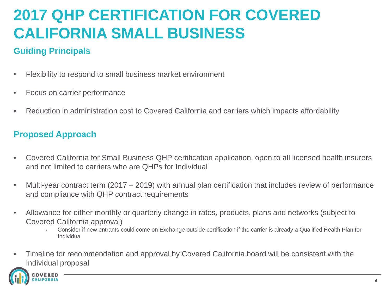## **2017 QHP CERTIFICATION FOR COVERED CALIFORNIA SMALL BUSINESS**

### **Guiding Principals**

- Flexibility to respond to small business market environment
- Focus on carrier performance
- Reduction in administration cost to Covered California and carriers which impacts affordability

### **Proposed Approach**

- Covered California for Small Business QHP certification application, open to all licensed health insurers and not limited to carriers who are QHPs for Individual
- Multi-year contract term (2017 2019) with annual plan certification that includes review of performance and compliance with QHP contract requirements
- Allowance for either monthly or quarterly change in rates, products, plans and networks (subject to Covered California approval)
	- Consider if new entrants could come on Exchange outside certification if the carrier is already a Qualified Health Plan for Individual
- Timeline for recommendation and approval by Covered California board will be consistent with the Individual proposal

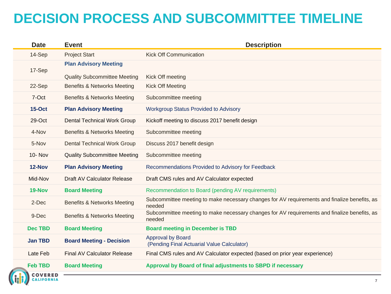## **DECISION PROCESS AND SUBCOMMITTEE TIMELINE**

| <b>Date</b>    | <b>Event</b>                           | <b>Description</b>                                                                                     |  |
|----------------|----------------------------------------|--------------------------------------------------------------------------------------------------------|--|
| 14-Sep         | <b>Project Start</b>                   | <b>Kick Off Communication</b>                                                                          |  |
| 17-Sep         | <b>Plan Advisory Meeting</b>           |                                                                                                        |  |
|                | <b>Quality Subcommittee Meeting</b>    | Kick Off meeting                                                                                       |  |
| 22-Sep         | <b>Benefits &amp; Networks Meeting</b> | <b>Kick Off Meeting</b>                                                                                |  |
| 7-Oct          | Benefits & Networks Meeting            | Subcommittee meeting                                                                                   |  |
| <b>15-Oct</b>  | <b>Plan Advisory Meeting</b>           | <b>Workgroup Status Provided to Advisory</b>                                                           |  |
| 29-Oct         | <b>Dental Technical Work Group</b>     | Kickoff meeting to discuss 2017 benefit design                                                         |  |
| 4-Nov          | <b>Benefits &amp; Networks Meeting</b> | Subcommittee meeting                                                                                   |  |
| 5-Nov          | <b>Dental Technical Work Group</b>     | Discuss 2017 benefit design                                                                            |  |
| <b>10- Nov</b> | <b>Quality Subcommittee Meeting</b>    | Subcommittee meeting                                                                                   |  |
| 12-Nov         | <b>Plan Advisory Meeting</b>           | Recommendations Provided to Advisory for Feedback                                                      |  |
| Mid-Nov        | <b>Draft AV Calculator Release</b>     | Draft CMS rules and AV Calculator expected                                                             |  |
| 19-Nov         | <b>Board Meeting</b>                   | Recommendation to Board (pending AV requirements)                                                      |  |
| 2-Dec          | Benefits & Networks Meeting            | Subcommittee meeting to make necessary changes for AV requirements and finalize benefits, as<br>needed |  |
| 9-Dec          | <b>Benefits &amp; Networks Meeting</b> | Subcommittee meeting to make necessary changes for AV requirements and finalize benefits, as<br>needed |  |
| <b>Dec TBD</b> | <b>Board Meeting</b>                   | <b>Board meeting in December is TBD</b>                                                                |  |
| <b>Jan TBD</b> | <b>Board Meeting - Decision</b>        | <b>Approval by Board</b><br>(Pending Final Actuarial Value Calculator)                                 |  |
| Late Feb       | <b>Final AV Calculator Release</b>     | Final CMS rules and AV Calculator expected (based on prior year experience)                            |  |
| <b>Feb TBD</b> | <b>Board Meeting</b>                   | Approval by Board of final adjustments to SBPD if necessary                                            |  |
| <b>COVERED</b> |                                        |                                                                                                        |  |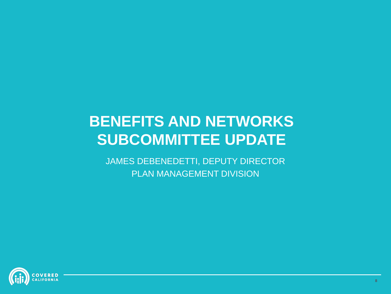## **BENEFITS AND NETWORKS SUBCOMMITTEE UPDATE**

JAMES DEBENEDETTI, DEPUTY DIRECTOR PLAN MANAGEMENT DIVISION

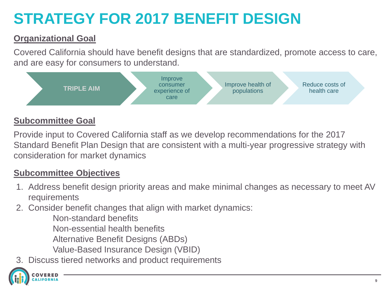# **STRATEGY FOR 2017 BENEFIT DESIGN**

### **Organizational Goal**

Covered California should have benefit designs that are standardized, promote access to care, and are easy for consumers to understand.



### **Subcommittee Goal**

Provide input to Covered California staff as we develop recommendations for the 2017 Standard Benefit Plan Design that are consistent with a multi-year progressive strategy with consideration for market dynamics

### **Subcommittee Objectives**

- 1. Address benefit design priority areas and make minimal changes as necessary to meet AV requirements
- 2. Consider benefit changes that align with market dynamics:
	- Non-standard benefits Non-essential health benefits Alternative Benefit Designs (ABDs) Value-Based Insurance Design (VBID)
- 3. Discuss tiered networks and product requirements

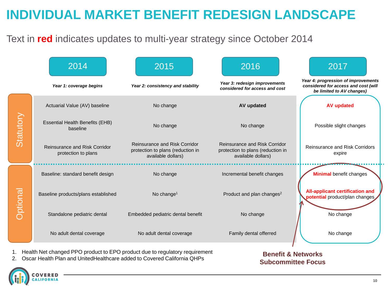## **INDIVIDUAL MARKET BENEFIT REDESIGN LANDSCAPE**

### Text in **red** indicates updates to multi-year strategy since October 2014



2. Oscar Health Plan and UnitedHealthcare added to Covered California QHPs

#### **Benefit & Networks Subcommittee Focus**

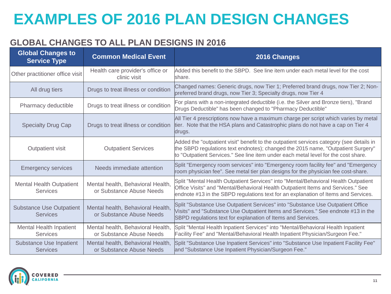# **EXAMPLES OF 2016 PLAN DESIGN CHANGES**

### **GLOBAL CHANGES TO ALL PLAN DESIGNS IN 2016**

| <b>Global Changes to</b><br><b>Service Type</b>    | <b>Common Medical Event</b>                                   | 2016 Changes                                                                                                                                                                                                                                                       |
|----------------------------------------------------|---------------------------------------------------------------|--------------------------------------------------------------------------------------------------------------------------------------------------------------------------------------------------------------------------------------------------------------------|
| Other practitioner office visit                    | Health care provider's office or<br>clinic visit              | Added this benefit to the SBPD. See line item under each metal level for the cost<br>lshare.                                                                                                                                                                       |
| All drug tiers                                     | Drugs to treat illness or condition                           | Changed names: Generic drugs, now Tier 1; Preferred brand drugs, now Tier 2; Non-<br>preferred brand drugs, now Tier 3; Specialty drugs, now Tier 4                                                                                                                |
| Pharmacy deductible                                | Drugs to treat illness or condition                           | For plans with a non-integrated deductible (i.e. the Silver and Bronze tiers), "Brand<br>Drugs Deductible" has been changed to "Pharmacy Deductible"                                                                                                               |
| <b>Specialty Drug Cap</b>                          | Drugs to treat illness or condition                           | All Tier 4 prescriptions now have a maximum charge per script which varies by metal<br>tier. Note that the HSA plans and Catastrophic plans do not have a cap on Tier 4<br>drugs.                                                                                  |
| Outpatient visit                                   | <b>Outpatient Services</b>                                    | Added the "outpatient visit" benefit to the outpatient services category (see details in<br>the SBPD regulations text endnotes); changed the 2015 name, "Outpatient Surgery"<br>to "Outpatient Services." See line item under each metal level for the cost share. |
| <b>Emergency services</b>                          | Needs immediate attention                                     | Split "Emergency room services" into "Emergency room facility fee" and "Emergency<br>room physician fee". See metal tier plan designs for the physician fee cost-share.                                                                                            |
| <b>Mental Health Outpatient</b><br><b>Services</b> | Mental health, Behavioral Health,<br>or Substance Abuse Needs | Split "Mental Health Outpatient Services" into "Mental/Behavioral Health Outpatient<br>Office Visits" and "Mental/Behavioral Health Outpatient Items and Services." See<br>endnote #13 in the SBPD regulations text for an explanation of Items and Services.      |
| <b>Substance Use Outpatient</b><br><b>Services</b> | Mental health, Behavioral Health,<br>or Substance Abuse Needs | Split "Substance Use Outpatient Services" into "Substance Use Outpatient Office<br>Visits" and "Substance Use Outpatient Items and Services." See endnote #13 in the<br>SBPD regulations text for explanation of Items and Services.                               |
| <b>Mental Health Inpatient</b><br><b>Services</b>  | Mental health, Behavioral Health,<br>or Substance Abuse Needs | Split "Mental Health Inpatient Services" into "Mental/Behavioral Health Inpatient<br>Facility Fee" and "Mental/Behavioral Health Inpatient Physician/Surgeon Fee."                                                                                                 |
| <b>Substance Use Inpatient</b><br><b>Services</b>  | Mental health, Behavioral Health,<br>or Substance Abuse Needs | Split "Substance Use Inpatient Services" into "Substance Use Inpatient Facility Fee"<br>and "Substance Use Inpatient Physician/Surgeon Fee."                                                                                                                       |

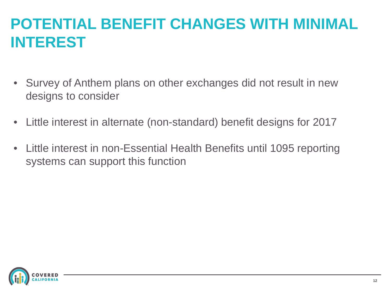## **POTENTIAL BENEFIT CHANGES WITH MINIMAL INTEREST**

- Survey of Anthem plans on other exchanges did not result in new designs to consider
- Little interest in alternate (non-standard) benefit designs for 2017
- Little interest in non-Essential Health Benefits until 1095 reporting systems can support this function

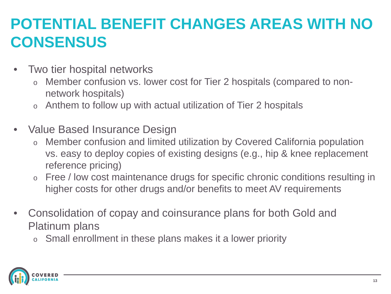## **POTENTIAL BENEFIT CHANGES AREAS WITH NO CONSENSUS**

- Two tier hospital networks
	- o Member confusion vs. lower cost for Tier 2 hospitals (compared to nonnetwork hospitals)
	- o Anthem to follow up with actual utilization of Tier 2 hospitals
- Value Based Insurance Design
	- Member confusion and limited utilization by Covered California population vs. easy to deploy copies of existing designs (e.g., hip & knee replacement reference pricing)
	- o Free / low cost maintenance drugs for specific chronic conditions resulting in higher costs for other drugs and/or benefits to meet AV requirements
- Consolidation of copay and coinsurance plans for both Gold and Platinum plans
	- o Small enrollment in these plans makes it a lower priority

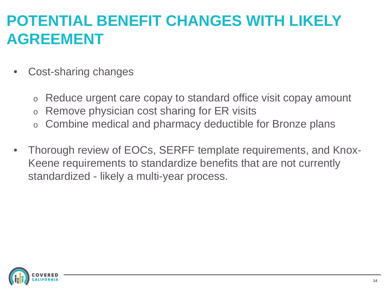## **POTENTIAL BENEFIT CHANGES WITH LIKELY AGREEMENT**

- Cost-sharing changes
	- o Reduce urgent care copay to standard office visit copay amount
	- o Remove physician cost sharing for ER visits
	- Combine medical and pharmacy deductible for Bronze plans
- Thorough review of EOCs, SERFF template requirements, and Knox-Keene requirements to standardize benefits that are not currently standardized - likely a multi-year process.

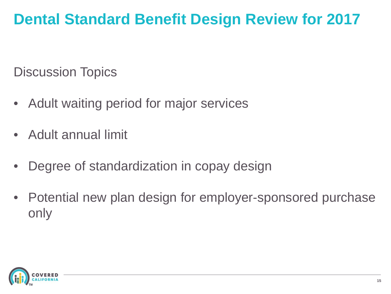## **Dental Standard Benefit Design Review for 2017**

Discussion Topics

- Adult waiting period for major services
- Adult annual limit
- Degree of standardization in copay design
- Potential new plan design for employer-sponsored purchase only

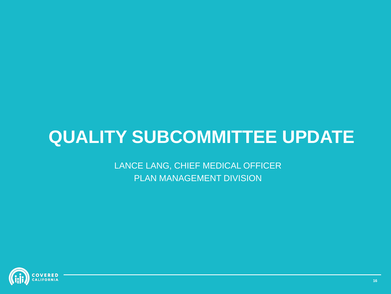# **QUALITY SUBCOMMITTEE UPDATE**

LANCE LANG, CHIEF MEDICAL OFFICER PLAN MANAGEMENT DIVISION

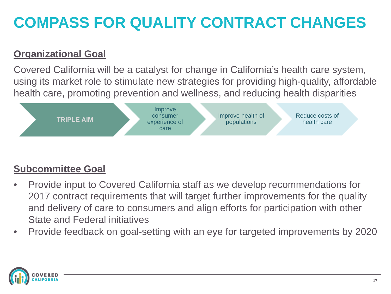# **COMPASS FOR QUALITY CONTRACT CHANGES**

### **Organizational Goal**

Covered California will be a catalyst for change in California's health care system, using its market role to stimulate new strategies for providing high-quality, affordable health care, promoting prevention and wellness, and reducing health disparities



### **Subcommittee Goal**

- Provide input to Covered California staff as we develop recommendations for 2017 contract requirements that will target further improvements for the quality and delivery of care to consumers and align efforts for participation with other State and Federal initiatives
- Provide feedback on goal-setting with an eye for targeted improvements by 2020

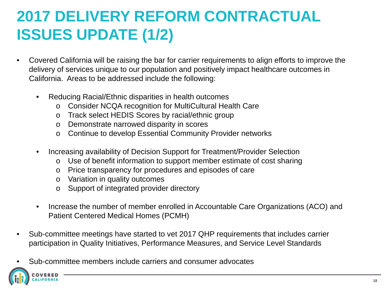# **2017 DELIVERY REFORM CONTRACTUAL ISSUES UPDATE (1/2)**

- Covered California will be raising the bar for carrier requirements to align efforts to improve the delivery of services unique to our population and positively impact healthcare outcomes in California. Areas to be addressed include the following:
	- Reducing Racial/Ethnic disparities in health outcomes
		- o Consider NCQA recognition for MultiCultural Health Care
		- o Track select HEDIS Scores by racial/ethnic group
		- o Demonstrate narrowed disparity in scores
		- o Continue to develop Essential Community Provider networks
	- Increasing availability of Decision Support for Treatment/Provider Selection
		- o Use of benefit information to support member estimate of cost sharing
		- o Price transparency for procedures and episodes of care
		- o Variation in quality outcomes
		- o Support of integrated provider directory
	- Increase the number of member enrolled in Accountable Care Organizations (ACO) and Patient Centered Medical Homes (PCMH)
- Sub-committee meetings have started to vet 2017 QHP requirements that includes carrier participation in Quality Initiatives, Performance Measures, and Service Level Standards
- Sub-committee members include carriers and consumer advocates

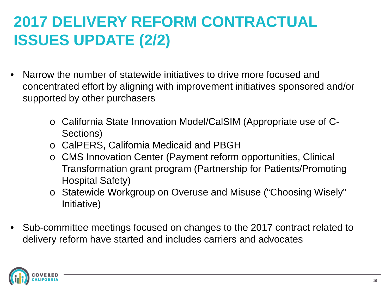# **2017 DELIVERY REFORM CONTRACTUAL ISSUES UPDATE (2/2)**

- Narrow the number of statewide initiatives to drive more focused and concentrated effort by aligning with improvement initiatives sponsored and/or supported by other purchasers
	- o California State Innovation Model/CalSIM (Appropriate use of C-Sections)
	- o CalPERS, California Medicaid and PBGH
	- o CMS Innovation Center (Payment reform opportunities, Clinical Transformation grant program (Partnership for Patients/Promoting Hospital Safety)
	- o Statewide Workgroup on Overuse and Misuse ("Choosing Wisely" Initiative)
- Sub-committee meetings focused on changes to the 2017 contract related to delivery reform have started and includes carriers and advocates